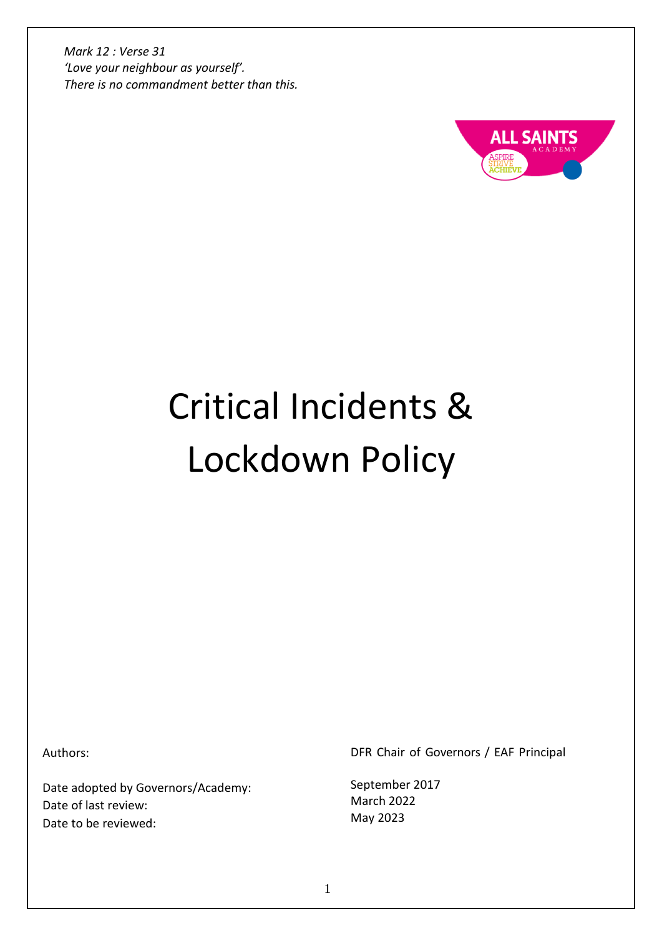

# Critical Incidents & Lockdown Policy

Authors:

Date adopted by Governors/Academy: Date of last review: Date to be reviewed:

DFR Chair of Governors / EAF Principal

September 2017 March 2022 May 2023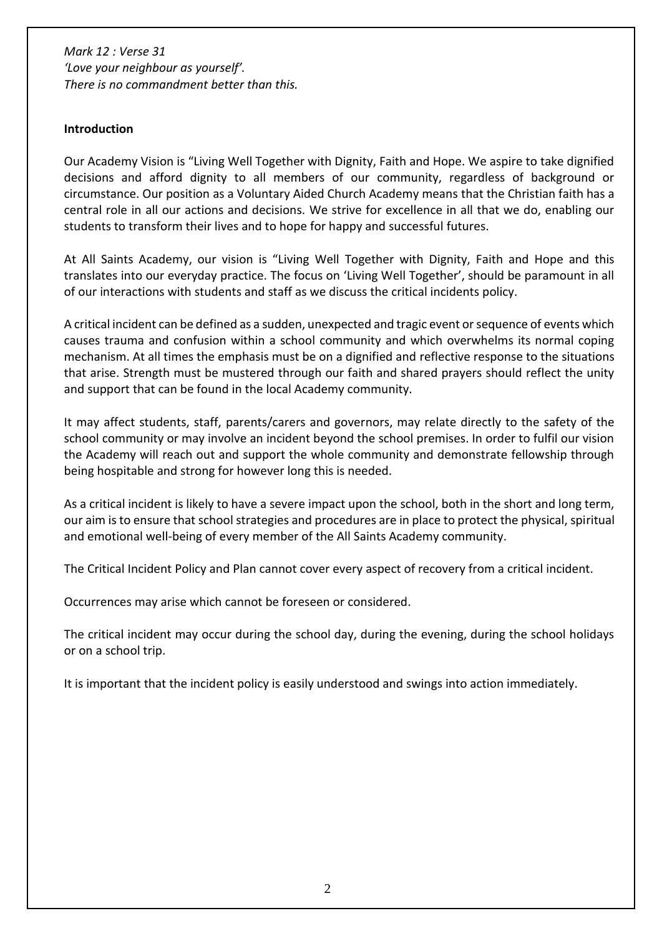#### **Introduction**

Our Academy Vision is "Living Well Together with Dignity, Faith and Hope. We aspire to take dignified decisions and afford dignity to all members of our community, regardless of background or circumstance. Our position as a Voluntary Aided Church Academy means that the Christian faith has a central role in all our actions and decisions. We strive for excellence in all that we do, enabling our students to transform their lives and to hope for happy and successful futures.

At All Saints Academy, our vision is "Living Well Together with Dignity, Faith and Hope and this translates into our everyday practice. The focus on 'Living Well Together', should be paramount in all of our interactions with students and staff as we discuss the critical incidents policy.

A critical incident can be defined as a sudden, unexpected and tragic event or sequence of events which causes trauma and confusion within a school community and which overwhelms its normal coping mechanism. At all times the emphasis must be on a dignified and reflective response to the situations that arise. Strength must be mustered through our faith and shared prayers should reflect the unity and support that can be found in the local Academy community.

It may affect students, staff, parents/carers and governors, may relate directly to the safety of the school community or may involve an incident beyond the school premises. In order to fulfil our vision the Academy will reach out and support the whole community and demonstrate fellowship through being hospitable and strong for however long this is needed.

As a critical incident is likely to have a severe impact upon the school, both in the short and long term, our aim is to ensure that school strategies and procedures are in place to protect the physical, spiritual and emotional well-being of every member of the All Saints Academy community.

The Critical Incident Policy and Plan cannot cover every aspect of recovery from a critical incident.

Occurrences may arise which cannot be foreseen or considered.

The critical incident may occur during the school day, during the evening, during the school holidays or on a school trip.

It is important that the incident policy is easily understood and swings into action immediately.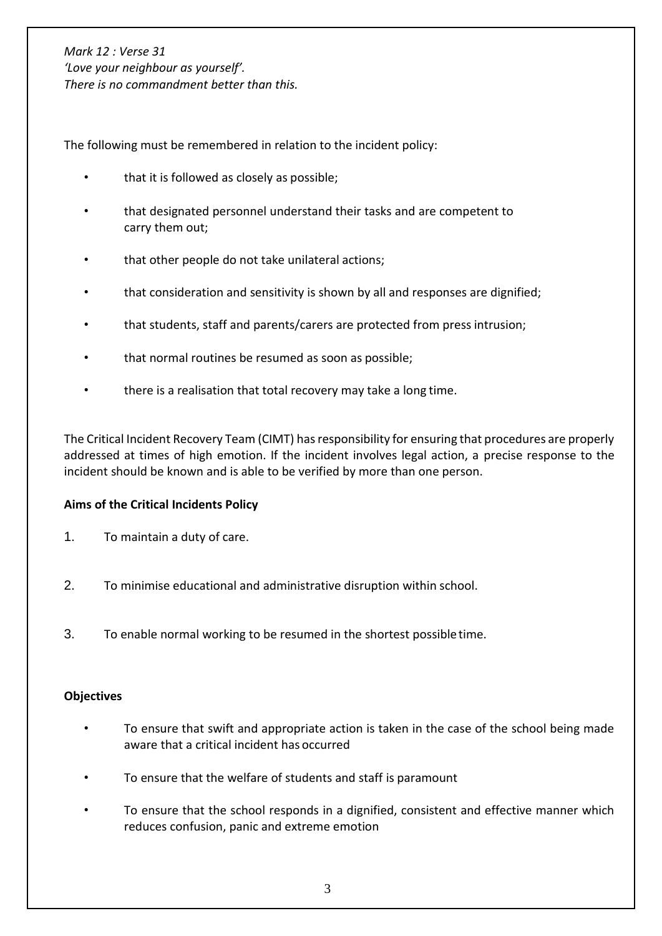The following must be remembered in relation to the incident policy:

- that it is followed as closely as possible;
- that designated personnel understand their tasks and are competent to carry them out;
- that other people do not take unilateral actions;
- that consideration and sensitivity is shown by all and responses are dignified;
- that students, staff and parents/carers are protected from press intrusion;
- that normal routines be resumed as soon as possible;
- there is a realisation that total recovery may take a long time.

The Critical Incident Recovery Team (CIMT) has responsibility for ensuring that procedures are properly addressed at times of high emotion. If the incident involves legal action, a precise response to the incident should be known and is able to be verified by more than one person.

## **Aims of the Critical Incidents Policy**

- 1. To maintain a duty of care.
- 2. To minimise educational and administrative disruption within school.
- 3. To enable normal working to be resumed in the shortest possibletime.

## **Objectives**

- To ensure that swift and appropriate action is taken in the case of the school being made aware that a critical incident has occurred
- To ensure that the welfare of students and staff is paramount
- To ensure that the school responds in a dignified, consistent and effective manner which reduces confusion, panic and extreme emotion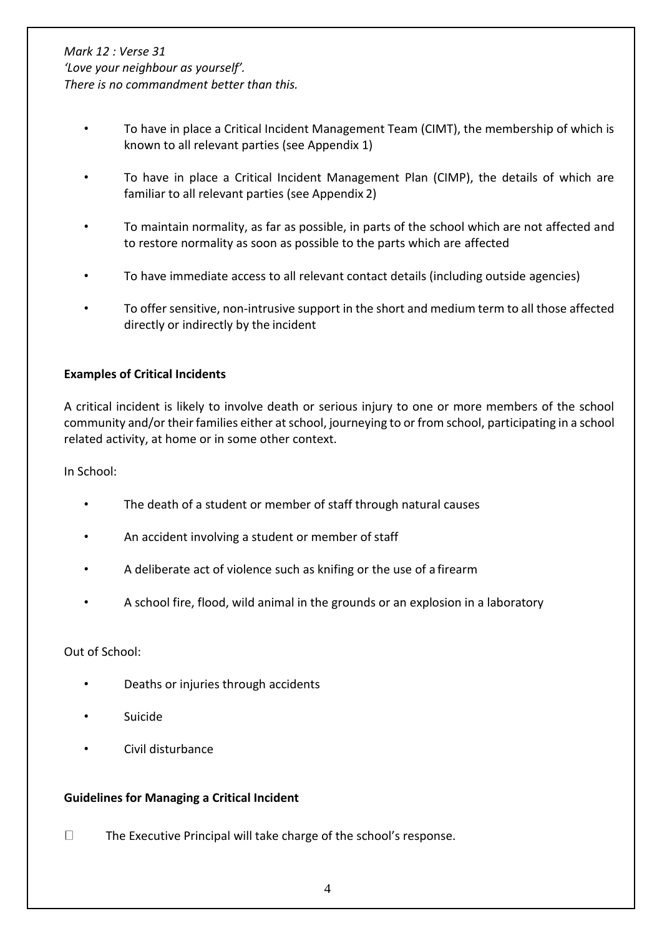- To have in place a Critical Incident Management Team (CIMT), the membership of which is known to all relevant parties (see Appendix 1)
- To have in place a Critical Incident Management Plan (CIMP), the details of which are familiar to all relevant parties (see Appendix 2)
- To maintain normality, as far as possible, in parts of the school which are not affected and to restore normality as soon as possible to the parts which are affected
- To have immediate access to all relevant contact details (including outside agencies)
- To offer sensitive, non-intrusive support in the short and medium term to all those affected directly or indirectly by the incident

## **Examples of Critical Incidents**

A critical incident is likely to involve death or serious injury to one or more members of the school community and/or their families either at school, journeying to or from school, participating in a school related activity, at home or in some other context.

In School:

- The death of a student or member of staff through natural causes
- An accident involving a student or member of staff
- A deliberate act of violence such as knifing or the use of a firearm
- A school fire, flood, wild animal in the grounds or an explosion in a laboratory

Out of School:

- Deaths or injuries through accidents
- **Suicide**
- Civil disturbance

#### **Guidelines for Managing a Critical Incident**

 $\Box$ The Executive Principal will take charge of the school's response.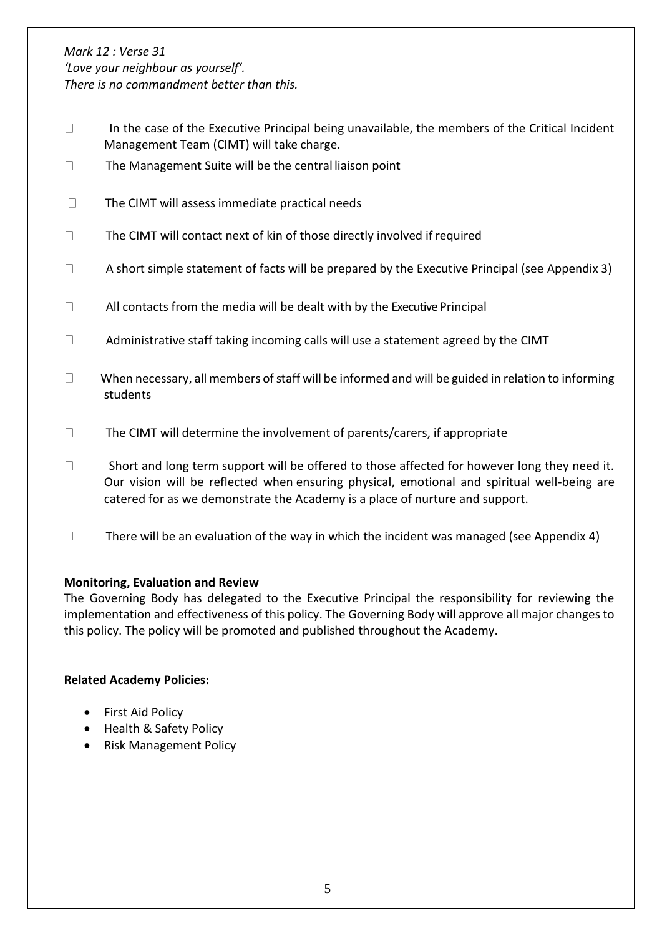*Mark 12 : Verse 31*

*'Love your neighbour as yourself'. There is no commandment better than this.*

- $\Box$  In the case of the Executive Principal being unavailable, the members of the Critical Incident Management Team (CIMT) will take charge.
- $\Box$ The Management Suite will be the central liaison point
- $\Box$ The CIMT will assess immediate practical needs
- $\Box$ The CIMT will contact next of kin of those directly involved if required
- $\Box$ A short simple statement of facts will be prepared by the Executive Principal (see Appendix 3)
- All contacts from the media will be dealt with by the Executive Principal  $\Box$
- $\Box$ Administrative staff taking incoming calls will use a statement agreed by the CIMT
- $\Box$  When necessary, all members of staff will be informed and will be guided in relation to informing students
- $\Box$ The CIMT will determine the involvement of parents/carers, if appropriate
- $\Box$  Short and long term support will be offered to those affected for however long they need it. Our vision will be reflected when ensuring physical, emotional and spiritual well-being are catered for as we demonstrate the Academy is a place of nurture and support.
- $\Box$ There will be an evaluation of the way in which the incident was managed (see Appendix 4)

## **Monitoring, Evaluation and Review**

The Governing Body has delegated to the Executive Principal the responsibility for reviewing the implementation and effectiveness of this policy. The Governing Body will approve all major changes to this policy. The policy will be promoted and published throughout the Academy.

## **Related Academy Policies:**

- First Aid Policy
- Health & Safety Policy
- Risk Management Policy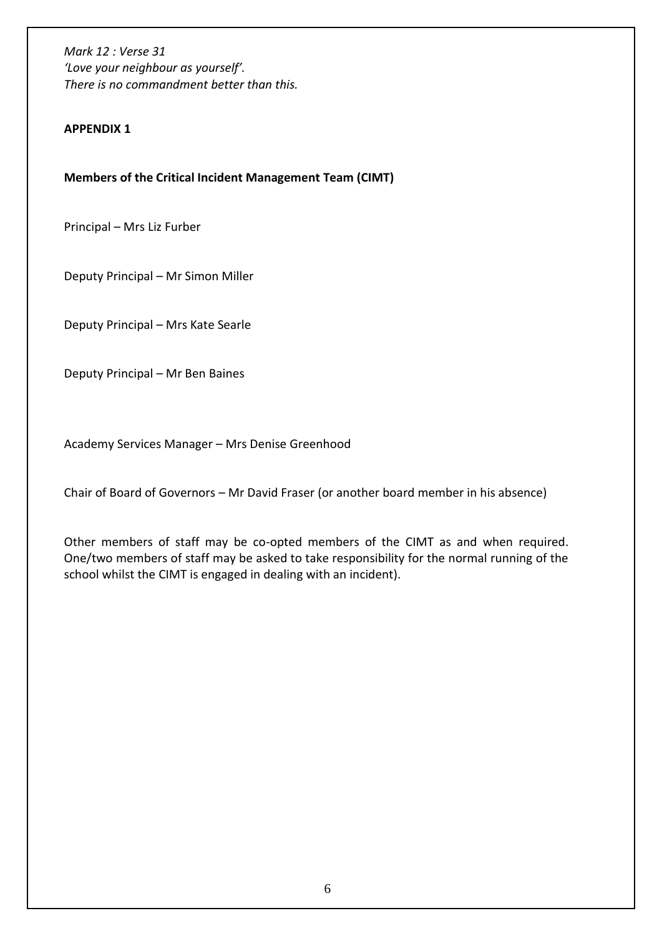#### **APPENDIX 1**

**Members of the Critical Incident Management Team (CIMT)**

Principal – Mrs Liz Furber

Deputy Principal – Mr Simon Miller

Deputy Principal – Mrs Kate Searle

Deputy Principal – Mr Ben Baines

Academy Services Manager – Mrs Denise Greenhood

Chair of Board of Governors – Mr David Fraser (or another board member in his absence)

Other members of staff may be co-opted members of the CIMT as and when required. One/two members of staff may be asked to take responsibility for the normal running of the school whilst the CIMT is engaged in dealing with an incident).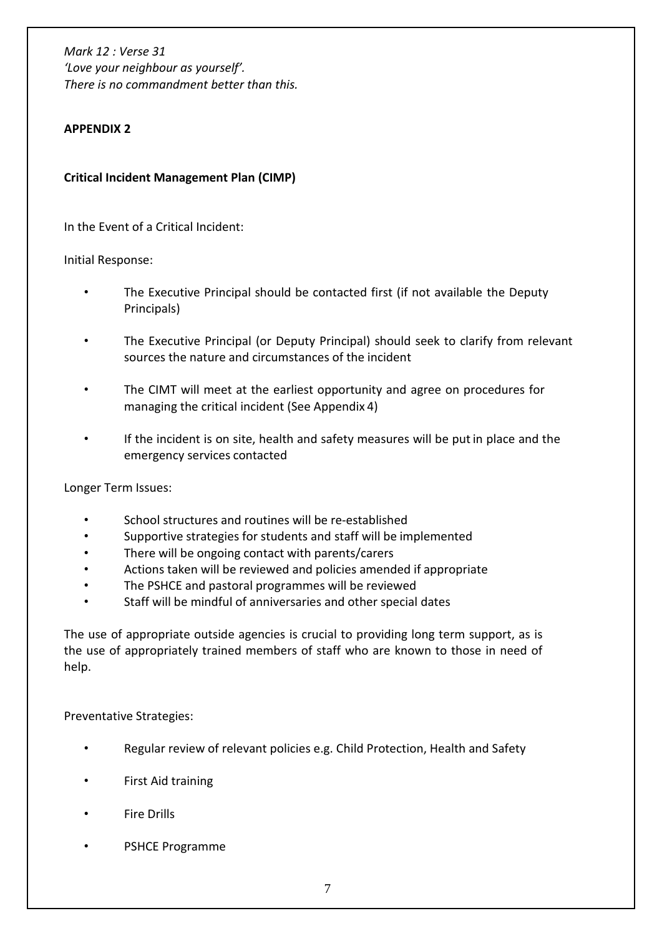## **APPENDIX 2**

**Critical Incident Management Plan (CIMP)**

In the Event of a Critical Incident:

Initial Response:

- The Executive Principal should be contacted first (if not available the Deputy Principals)
- The Executive Principal (or Deputy Principal) should seek to clarify from relevant sources the nature and circumstances of the incident
- The CIMT will meet at the earliest opportunity and agree on procedures for managing the critical incident (See Appendix 4)
- If the incident is on site, health and safety measures will be putin place and the emergency services contacted

Longer Term Issues:

- School structures and routines will be re-established
- Supportive strategies for students and staff will be implemented
- There will be ongoing contact with parents/carers
- Actions taken will be reviewed and policies amended if appropriate
- The PSHCE and pastoral programmes will be reviewed
- Staff will be mindful of anniversaries and other special dates

The use of appropriate outside agencies is crucial to providing long term support, as is the use of appropriately trained members of staff who are known to those in need of help.

Preventative Strategies:

- Regular review of relevant policies e.g. Child Protection, Health and Safety
- First Aid training
- **Fire Drills**
- PSHCE Programme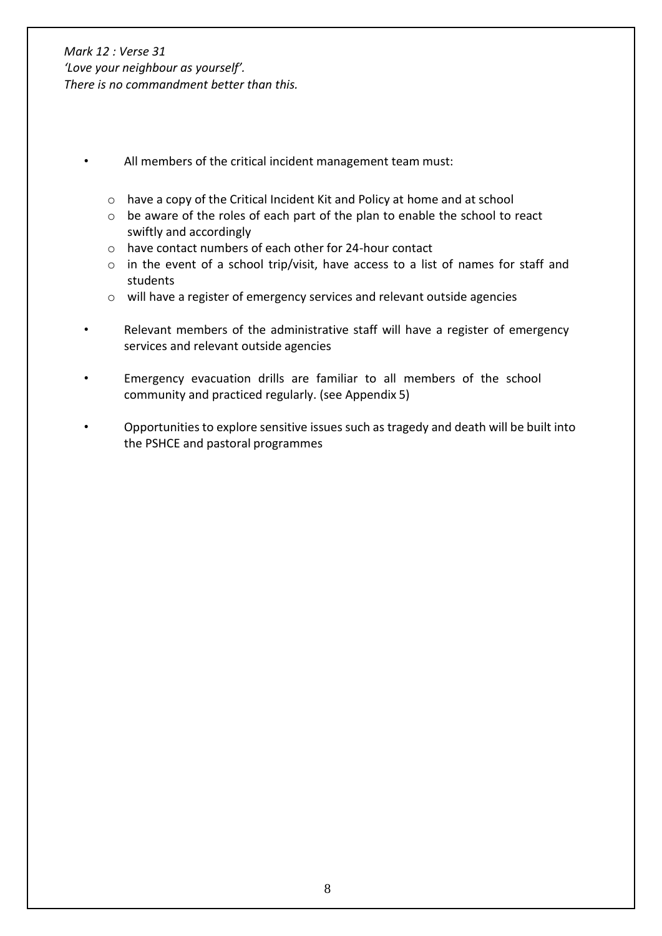- All members of the critical incident management team must:
	- o have a copy of the Critical Incident Kit and Policy at home and at school
	- o be aware of the roles of each part of the plan to enable the school to react swiftly and accordingly
	- o have contact numbers of each other for 24-hour contact
	- o in the event of a school trip/visit, have access to a list of names for staff and students
	- o will have a register of emergency services and relevant outside agencies
- Relevant members of the administrative staff will have a register of emergency services and relevant outside agencies
- Emergency evacuation drills are familiar to all members of the school community and practiced regularly. (see Appendix 5)
- Opportunities to explore sensitive issues such as tragedy and death will be built into the PSHCE and pastoral programmes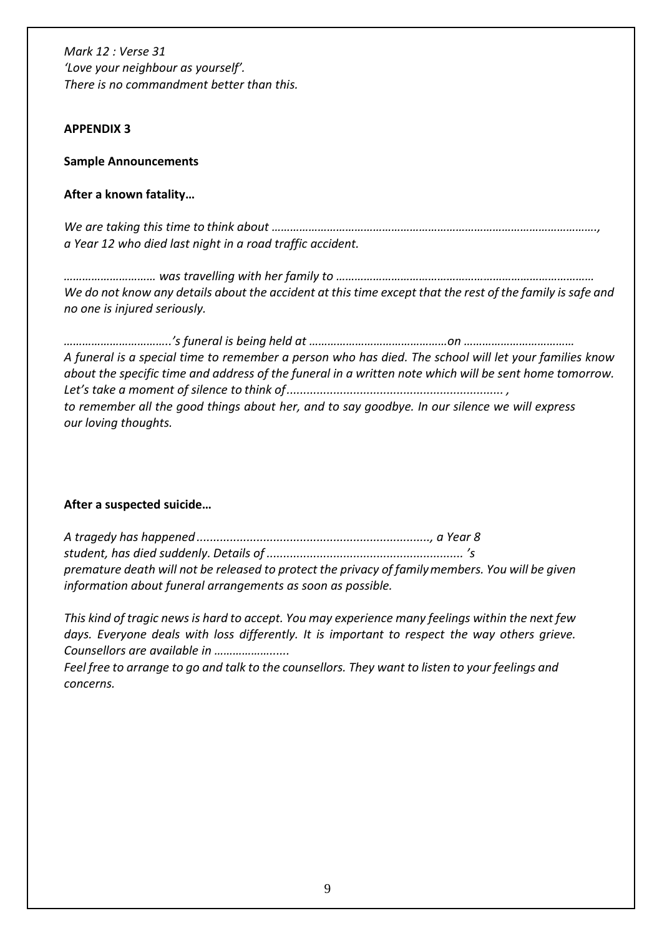#### **APPENDIX 3**

#### **Sample Announcements**

#### **After a known fatality…**

*We are taking this time to think about ……………………………………………………………………………………………., a Year 12 who died last night in a road traffic accident.*

*………………………… was travelling with her family to ………………………………………………………………………… We do not know any details about the accident at this time except that the rest of the family is safe and no one is injured seriously.*

*……………………………..'s funeral is being held at ………………………………………on ……………………………… A funeral is a special time to remember a person who has died. The school will let your families know about the specific time and address of the funeral in a written note which will be sent home tomorrow. Let's take a moment of silence to think of................................................................. , to remember all the good things about her, and to say goodbye. In our silence we will express our loving thoughts.*

## **After a suspected suicide…**

*A tragedy has happened ......................................................................, a Year 8 student, has died suddenly. Details of ........................................................... 's premature death will not be released to protect the privacy of familymembers. You will be given information about funeral arrangements as soon as possible.*

*This kind of tragic news is hard to accept. You may experience many feelings within the next few days. Everyone deals with loss differently. It is important to respect the way others grieve. Counsellors are available in ………………......*

*Feel free to arrange to go and talk to the counsellors. They want to listen to your feelings and concerns.*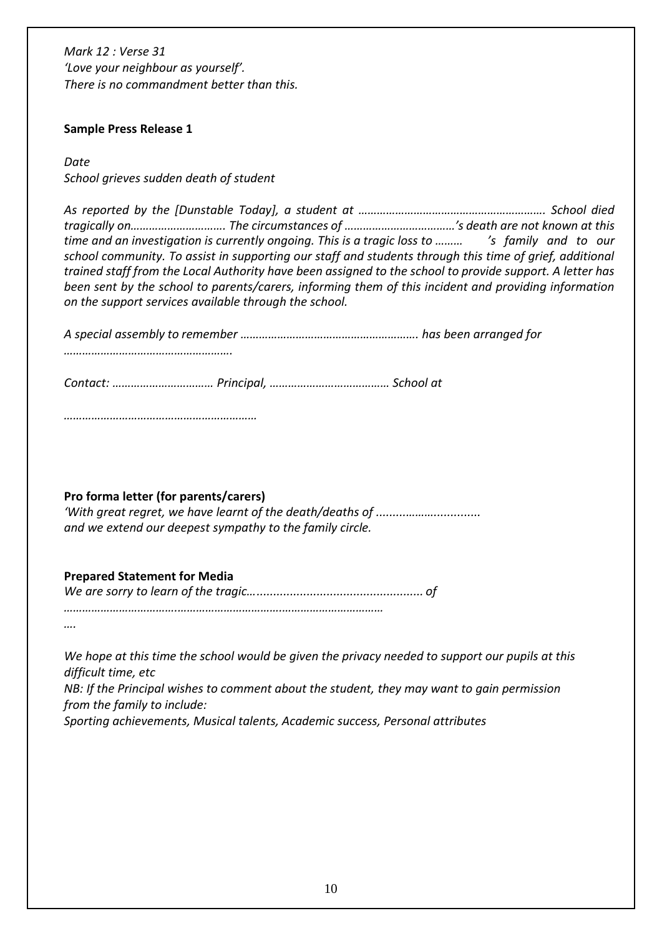#### **Sample Press Release 1**

*Date*

*School grieves sudden death of student*

*As reported by the [Dunstable Today], a student at ……………………………………………………. School died tragically on…………………………. The circumstances of ………………………………'s death are not known at this time and an investigation is currently ongoing. This is a tragic loss to ……… 's family and to our school community. To assist in supporting our staff and students through this time of grief, additional trained staff from the Local Authority have been assigned to the school to provide support. A letter has been sent by the school to parents/carers, informing them of this incident and providing information on the support services available through the school.*

*A special assembly to remember …………………………………………………. has been arranged for*

*……………………………………………….*

*Contact: …………………………… Principal, ………………………………… School at*

*………………………………………………………*

#### **Pro forma letter (for parents/carers)**

*'With great regret, we have learnt of the death/deaths of .........……….............. and we extend our deepest sympathy to the family circle.*

## **Prepared Statement for Media**

*We are sorry to learn of the tragic….................................................. of*

*……………………………….…………………………….……………………………*

*….*

*We hope at this time the school would be given the privacy needed to support our pupils at this difficult time, etc*

*NB: If the Principal wishes to comment about the student, they may want to gain permission from the family to include:*

*Sporting achievements, Musical talents, Academic success, Personal attributes*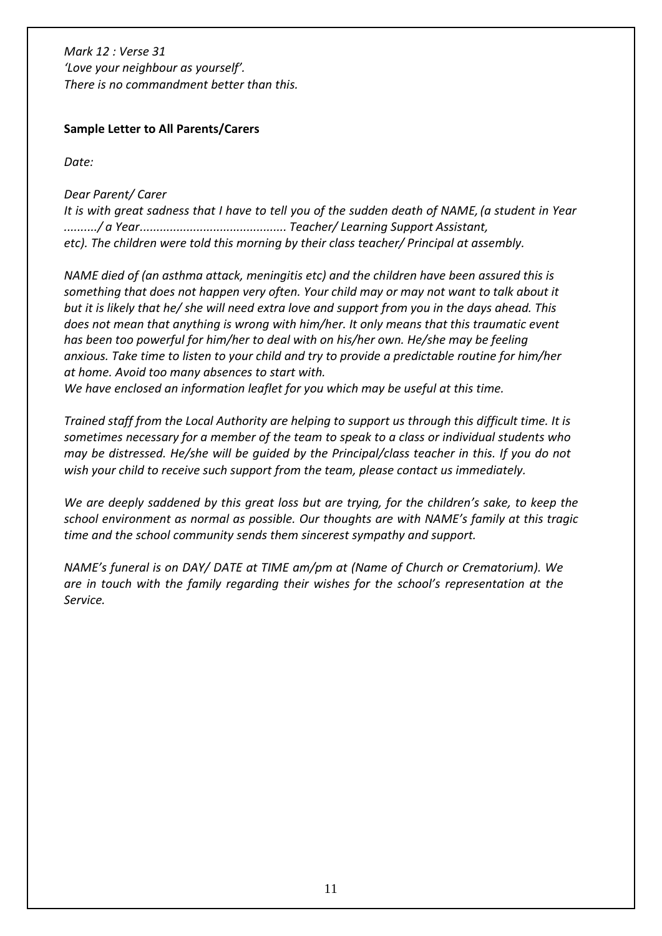#### **Sample Letter to All Parents/Carers**

*Date:*

*Dear Parent/ Carer*

*It is with great sadness that I have to tell you of the sudden death of NAME,(a student in Year ........../ a Year............................................ Teacher/ Learning Support Assistant, etc). The children were told this morning by their class teacher/ Principal at assembly.*

*NAME died of (an asthma attack, meningitis etc) and the children have been assured this is something that does not happen very often. Your child may or may not want to talk about it but it is likely that he/ she will need extra love and support from you in the days ahead. This does not mean that anything is wrong with him/her. It only means that this traumatic event has been too powerful for him/her to deal with on his/her own. He/she may be feeling anxious. Take time to listen to your child and try to provide a predictable routine for him/her at home. Avoid too many absences to start with.*

*We have enclosed an information leaflet for you which may be useful at this time.*

*Trained staff from the Local Authority are helping to support us through this difficult time. It is sometimes necessary for a member of the team to speak to a class or individual students who may be distressed. He/she will be guided by the Principal/class teacher in this. If you do not wish your child to receive such support from the team, please contact us immediately.*

*We are deeply saddened by this great loss but are trying, for the children's sake, to keep the school environment as normal as possible. Our thoughts are with NAME's family at this tragic time and the school community sends them sincerest sympathy and support.*

*NAME's funeral is on DAY/ DATE at TIME am/pm at (Name of Church or Crematorium). We are in touch with the family regarding their wishes for the school's representation at the Service.*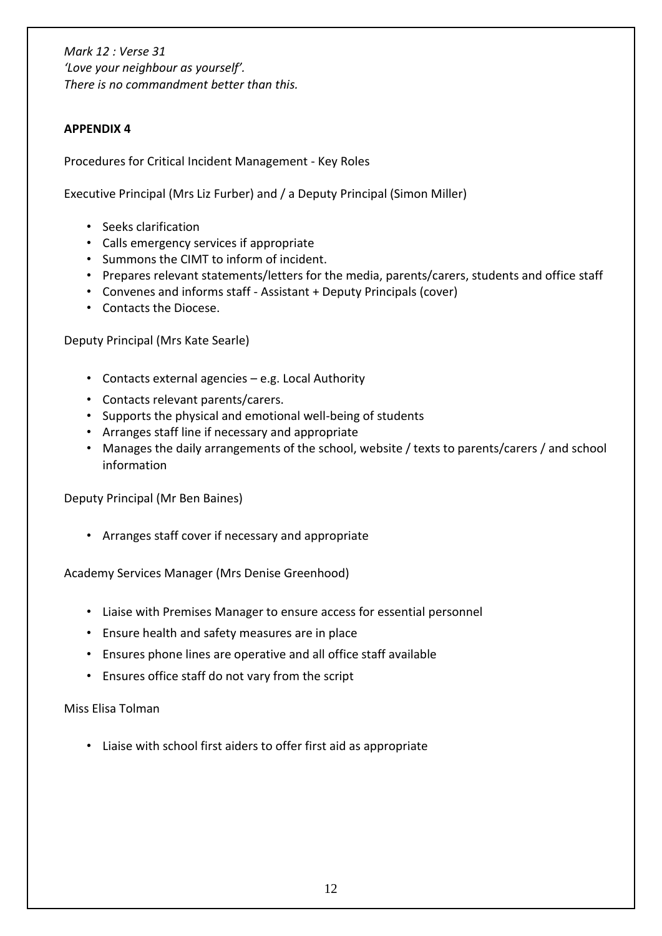# **APPENDIX 4**

Procedures for Critical Incident Management - Key Roles

Executive Principal (Mrs Liz Furber) and / a Deputy Principal (Simon Miller)

- Seeks clarification
- Calls emergency services if appropriate
- Summons the CIMT to inform of incident.
- Prepares relevant statements/letters for the media, parents/carers, students and office staff
- Convenes and informs staff Assistant + Deputy Principals (cover)
- Contacts the Diocese.

Deputy Principal (Mrs Kate Searle)

- Contacts external agencies e.g. Local Authority
- Contacts relevant parents/carers.
- Supports the physical and emotional well-being of students
- Arranges staff line if necessary and appropriate
- Manages the daily arrangements of the school, website / texts to parents/carers / and school information

Deputy Principal (Mr Ben Baines)

• Arranges staff cover if necessary and appropriate

Academy Services Manager (Mrs Denise Greenhood)

- Liaise with Premises Manager to ensure access for essential personnel
- Ensure health and safety measures are in place
- Ensures phone lines are operative and all office staff available
- Ensures office staff do not vary from the script

Miss Elisa Tolman

• Liaise with school first aiders to offer first aid as appropriate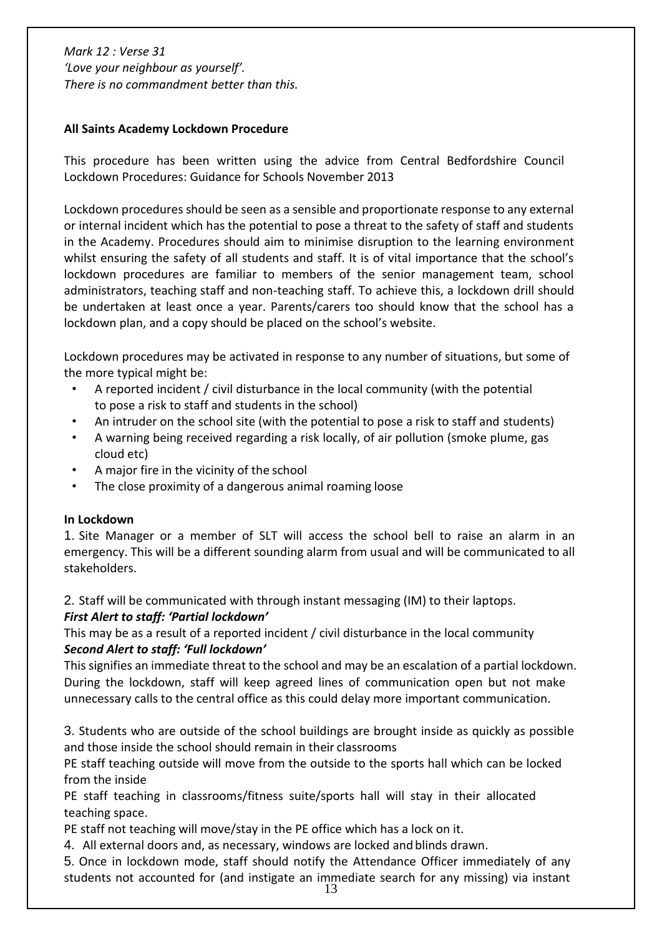#### **All Saints Academy Lockdown Procedure**

This procedure has been written using the advice from Central Bedfordshire Council Lockdown Procedures: Guidance for Schools November 2013

Lockdown procedures should be seen as a sensible and proportionate response to any external or internal incident which has the potential to pose a threat to the safety of staff and students in the Academy. Procedures should aim to minimise disruption to the learning environment whilst ensuring the safety of all students and staff. It is of vital importance that the school's lockdown procedures are familiar to members of the senior management team, school administrators, teaching staff and non-teaching staff. To achieve this, a lockdown drill should be undertaken at least once a year. Parents/carers too should know that the school has a lockdown plan, and a copy should be placed on the school's website.

Lockdown procedures may be activated in response to any number of situations, but some of the more typical might be:

- A reported incident / civil disturbance in the local community (with the potential to pose a risk to staff and students in the school)
- An intruder on the school site (with the potential to pose a risk to staff and students)
- A warning being received regarding a risk locally, of air pollution (smoke plume, gas cloud etc)
- A major fire in the vicinity of the school
- The close proximity of a dangerous animal roaming loose

#### **In Lockdown**

1. Site Manager or a member of SLT will access the school bell to raise an alarm in an emergency. This will be a different sounding alarm from usual and will be communicated to all stakeholders.

2. Staff will be communicated with through instant messaging (IM) to their laptops.

## *First Alert to staff: 'Partial lockdown'*

This may be as a result of a reported incident / civil disturbance in the local community *Second Alert to staff: 'Full lockdown'*

This signifies an immediate threat to the school and may be an escalation of a partial lockdown. During the lockdown, staff will keep agreed lines of communication open but not make unnecessary calls to the central office as this could delay more important communication.

3. Students who are outside of the school buildings are brought inside as quickly as possible and those inside the school should remain in their classrooms

PE staff teaching outside will move from the outside to the sports hall which can be locked from the inside

PE staff teaching in classrooms/fitness suite/sports hall will stay in their allocated teaching space.

PE staff not teaching will move/stay in the PE office which has a lock on it.

4. All external doors and, as necessary, windows are locked and blinds drawn.

5. Once in lockdown mode, staff should notify the Attendance Officer immediately of any students not accounted for (and instigate an immediate search for any missing) via instant

13